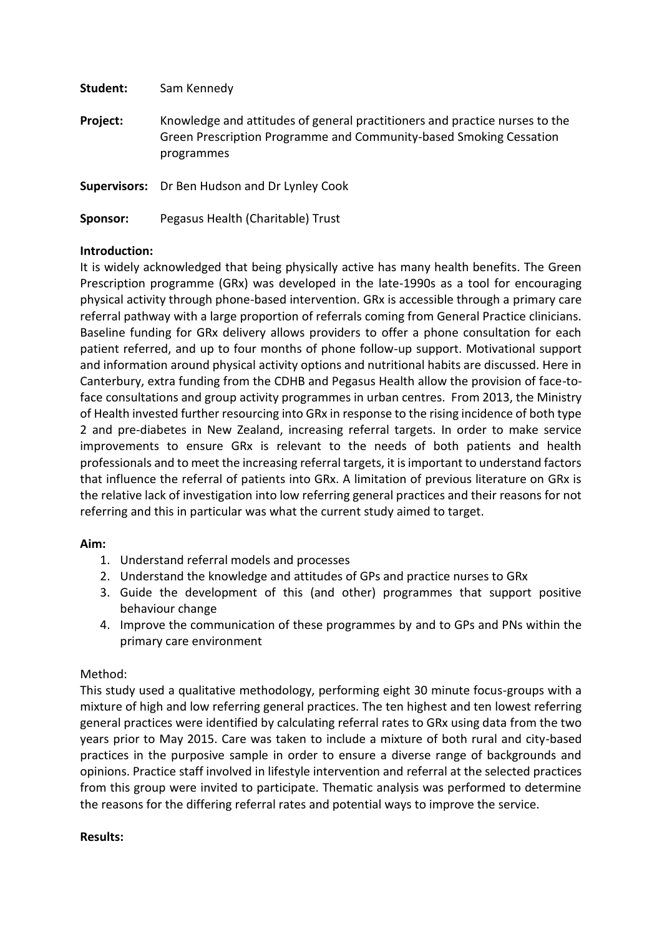| Student: | Sam Kennedy                                                                                                                                                     |
|----------|-----------------------------------------------------------------------------------------------------------------------------------------------------------------|
| Project: | Knowledge and attitudes of general practitioners and practice nurses to the<br>Green Prescription Programme and Community-based Smoking Cessation<br>programmes |
|          | <b>Supervisors:</b> Dr Ben Hudson and Dr Lynley Cook                                                                                                            |
| Sponsor: | Pegasus Health (Charitable) Trust                                                                                                                               |

# **Introduction:**

It is widely acknowledged that being physically active has many health benefits. The Green Prescription programme (GRx) was developed in the late-1990s as a tool for encouraging physical activity through phone-based intervention. GRx is accessible through a primary care referral pathway with a large proportion of referrals coming from General Practice clinicians. Baseline funding for GRx delivery allows providers to offer a phone consultation for each patient referred, and up to four months of phone follow-up support. Motivational support and information around physical activity options and nutritional habits are discussed. Here in Canterbury, extra funding from the CDHB and Pegasus Health allow the provision of face-toface consultations and group activity programmes in urban centres. From 2013, the Ministry of Health invested further resourcing into GRx in response to the rising incidence of both type 2 and pre-diabetes in New Zealand, increasing referral targets. In order to make service improvements to ensure GRx is relevant to the needs of both patients and health professionals and to meet the increasing referral targets, it is important to understand factors that influence the referral of patients into GRx. A limitation of previous literature on GRx is the relative lack of investigation into low referring general practices and their reasons for not referring and this in particular was what the current study aimed to target.

# **Aim:**

- 1. Understand referral models and processes
- 2. Understand the knowledge and attitudes of GPs and practice nurses to GRx
- 3. Guide the development of this (and other) programmes that support positive behaviour change
- 4. Improve the communication of these programmes by and to GPs and PNs within the primary care environment

# Method:

This study used a qualitative methodology, performing eight 30 minute focus-groups with a mixture of high and low referring general practices. The ten highest and ten lowest referring general practices were identified by calculating referral rates to GRx using data from the two years prior to May 2015. Care was taken to include a mixture of both rural and city-based practices in the purposive sample in order to ensure a diverse range of backgrounds and opinions. Practice staff involved in lifestyle intervention and referral at the selected practices from this group were invited to participate. Thematic analysis was performed to determine the reasons for the differing referral rates and potential ways to improve the service.

### **Results:**